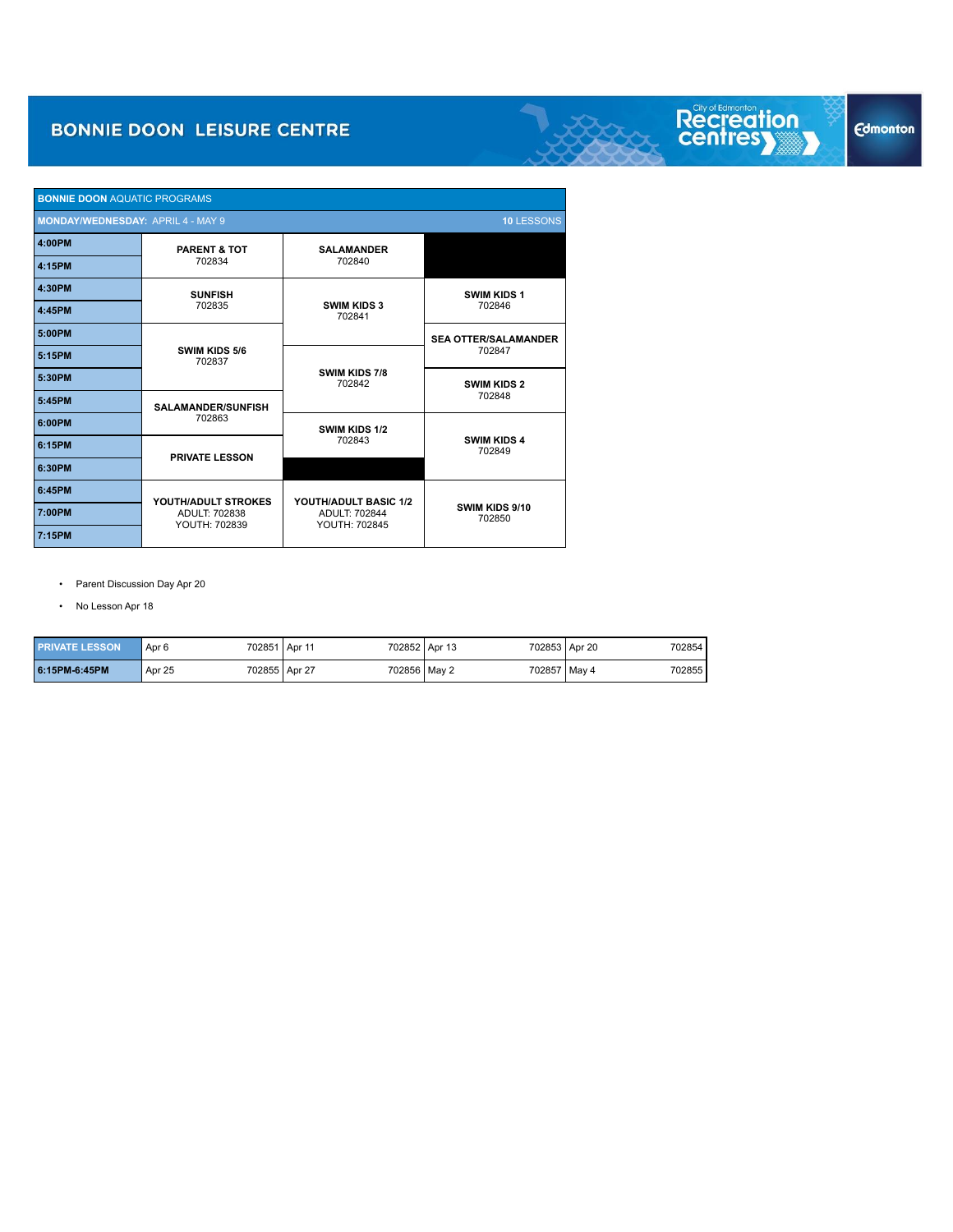| <b>BONNIE DOON AQUATIC PROGRAMS</b>                    |                                                       |                                       |                              |  |  |  |  |
|--------------------------------------------------------|-------------------------------------------------------|---------------------------------------|------------------------------|--|--|--|--|
| <b>MONDAY/WEDNESDAY: APRIL 4 - MAY 9</b><br>10 LESSONS |                                                       |                                       |                              |  |  |  |  |
| 4:00PM                                                 | <b>PARENT &amp; TOT</b>                               | <b>SALAMANDER</b>                     |                              |  |  |  |  |
| 4:15PM                                                 | 702834                                                | 702840                                |                              |  |  |  |  |
| 4:30PM                                                 | <b>SUNFISH</b>                                        |                                       | <b>SWIM KIDS 1</b>           |  |  |  |  |
| 4:45PM                                                 | 702835                                                | <b>SWIM KIDS 3</b><br>702841          | 702846                       |  |  |  |  |
| 5:00PM                                                 |                                                       |                                       | <b>SEA OTTER/SALAMANDER</b>  |  |  |  |  |
| 5:15PM                                                 | SWIM KIDS 5/6<br>702837                               | <b>SWIM KIDS 7/8</b><br>702842        | 702847                       |  |  |  |  |
| 5:30PM                                                 |                                                       |                                       | <b>SWIM KIDS 2</b>           |  |  |  |  |
| 5:45PM                                                 | <b>SALAMANDER/SUNFISH</b>                             |                                       | 702848                       |  |  |  |  |
| 6:00PM                                                 | 702863                                                | SWIM KIDS 1/2                         |                              |  |  |  |  |
| 6:15PM                                                 | <b>PRIVATE LESSON</b>                                 | 702843                                | <b>SWIM KIDS 4</b><br>702849 |  |  |  |  |
| 6:30PM                                                 |                                                       |                                       |                              |  |  |  |  |
| 6:45PM                                                 |                                                       | YOUTH/ADULT BASIC 1/2                 |                              |  |  |  |  |
| 7:00PM                                                 | YOUTH/ADULT STROKES<br>ADULT: 702838<br>YOUTH: 702839 | <b>ADULT: 702844</b><br>YOUTH: 702845 | SWIM KIDS 9/10<br>702850     |  |  |  |  |
| 7:15PM                                                 |                                                       |                                       |                              |  |  |  |  |

• Parent Discussion Day Apr 20

• No Lesson Apr 18

I

| <b>PRIVATE LESSON</b> | Apr 6  | 702851 Apr 11 | 702852 Apr 13 | 702853 Apr 20 | 702854 |
|-----------------------|--------|---------------|---------------|---------------|--------|
| 6:15PM-6:45PM         | Apr 25 | 702855 Apr 27 | 702856 May 2  | 702857 May 4  | 702855 |

# **Edmonton**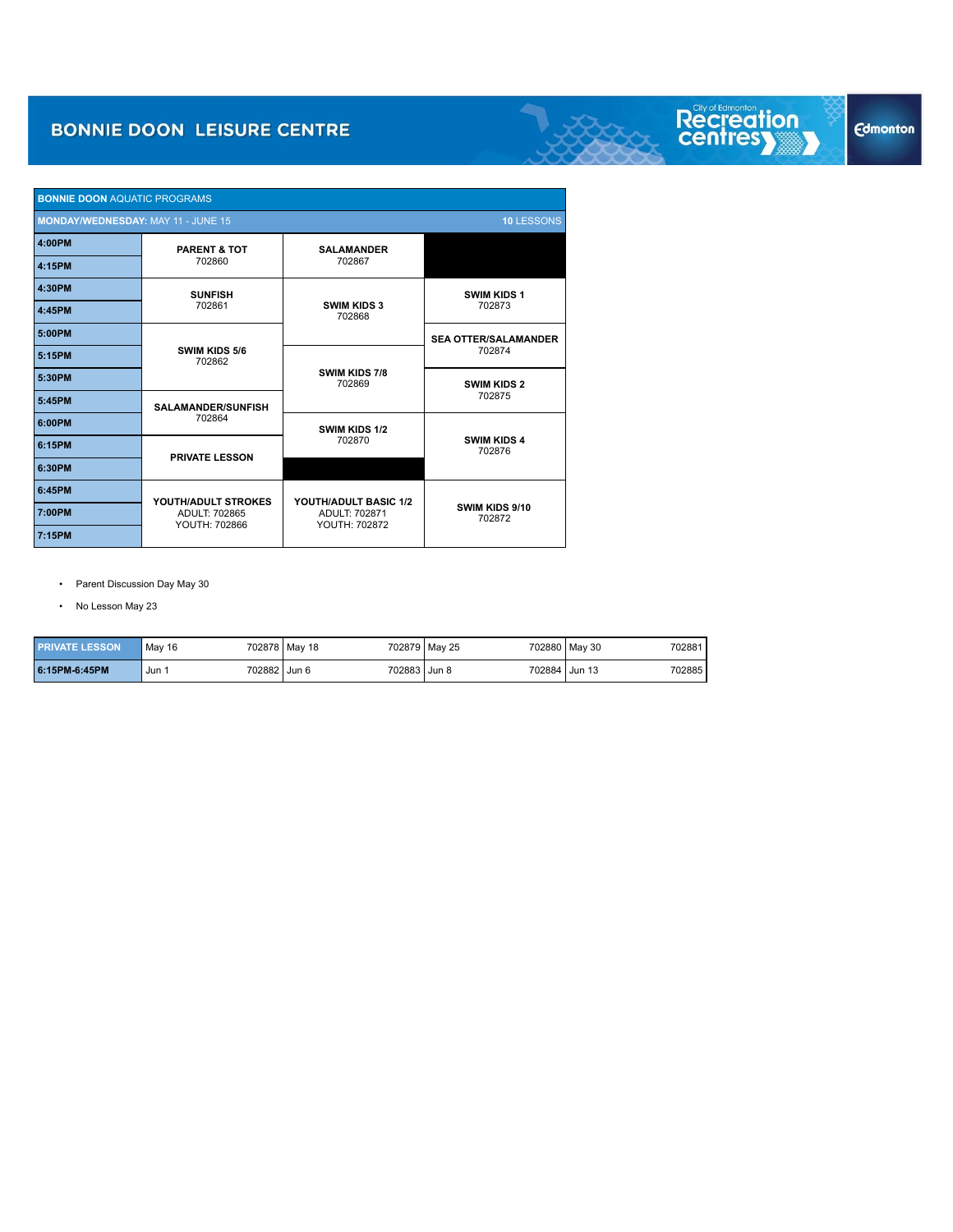| <b>BONNIE DOON AQUATIC PROGRAMS</b>                     |                                |                                       |                              |  |  |  |  |
|---------------------------------------------------------|--------------------------------|---------------------------------------|------------------------------|--|--|--|--|
| 10 LESSONS<br><b>MONDAY/WEDNESDAY: MAY 11 - JUNE 15</b> |                                |                                       |                              |  |  |  |  |
| 4:00PM                                                  | <b>PARENT &amp; TOT</b>        | <b>SALAMANDER</b>                     |                              |  |  |  |  |
| 4:15PM                                                  | 702860                         | 702867                                |                              |  |  |  |  |
| 4:30PM                                                  | <b>SUNFISH</b>                 |                                       | <b>SWIM KIDS 1</b>           |  |  |  |  |
| 4:45PM                                                  | 702861                         | <b>SWIM KIDS 3</b><br>702868          | 702873                       |  |  |  |  |
| 5:00PM                                                  |                                |                                       | <b>SEA OTTER/SALAMANDER</b>  |  |  |  |  |
| 5:15PM                                                  | SWIM KIDS 5/6<br>702862        |                                       | 702874                       |  |  |  |  |
| 5:30PM                                                  |                                | SWIM KIDS 7/8<br>702869               | <b>SWIM KIDS 2</b>           |  |  |  |  |
| 5:45PM                                                  | <b>SALAMANDER/SUNFISH</b>      |                                       | 702875                       |  |  |  |  |
| 6:00PM                                                  | 702864                         | SWIM KIDS 1/2                         |                              |  |  |  |  |
| 6:15PM                                                  | <b>PRIVATE LESSON</b>          | 702870                                | <b>SWIM KIDS 4</b><br>702876 |  |  |  |  |
| 6:30PM                                                  |                                |                                       |                              |  |  |  |  |
| 6:45PM                                                  | YOUTH/ADULT STROKES            | YOUTH/ADULT BASIC 1/2                 |                              |  |  |  |  |
| 7:00PM                                                  | ADULT: 702865<br>YOUTH: 702866 | <b>ADULT: 702871</b><br>YOUTH: 702872 | SWIM KIDS 9/10<br>702872     |  |  |  |  |
| 7:15PM                                                  |                                |                                       |                              |  |  |  |  |

• Parent Discussion Day May 30

• No Lesson May 23

| <b>PRIVATE LESSON</b> | May 16 | 702878 May 18 | 702879 May 25 | 702880 May 30 | 702881 |
|-----------------------|--------|---------------|---------------|---------------|--------|
| 6:15PM-6:45PM         | Jun    | 702882 Jun 6  | 702883 Jun 8  | 702884 Jun 13 | 702885 |

# **Edmonton**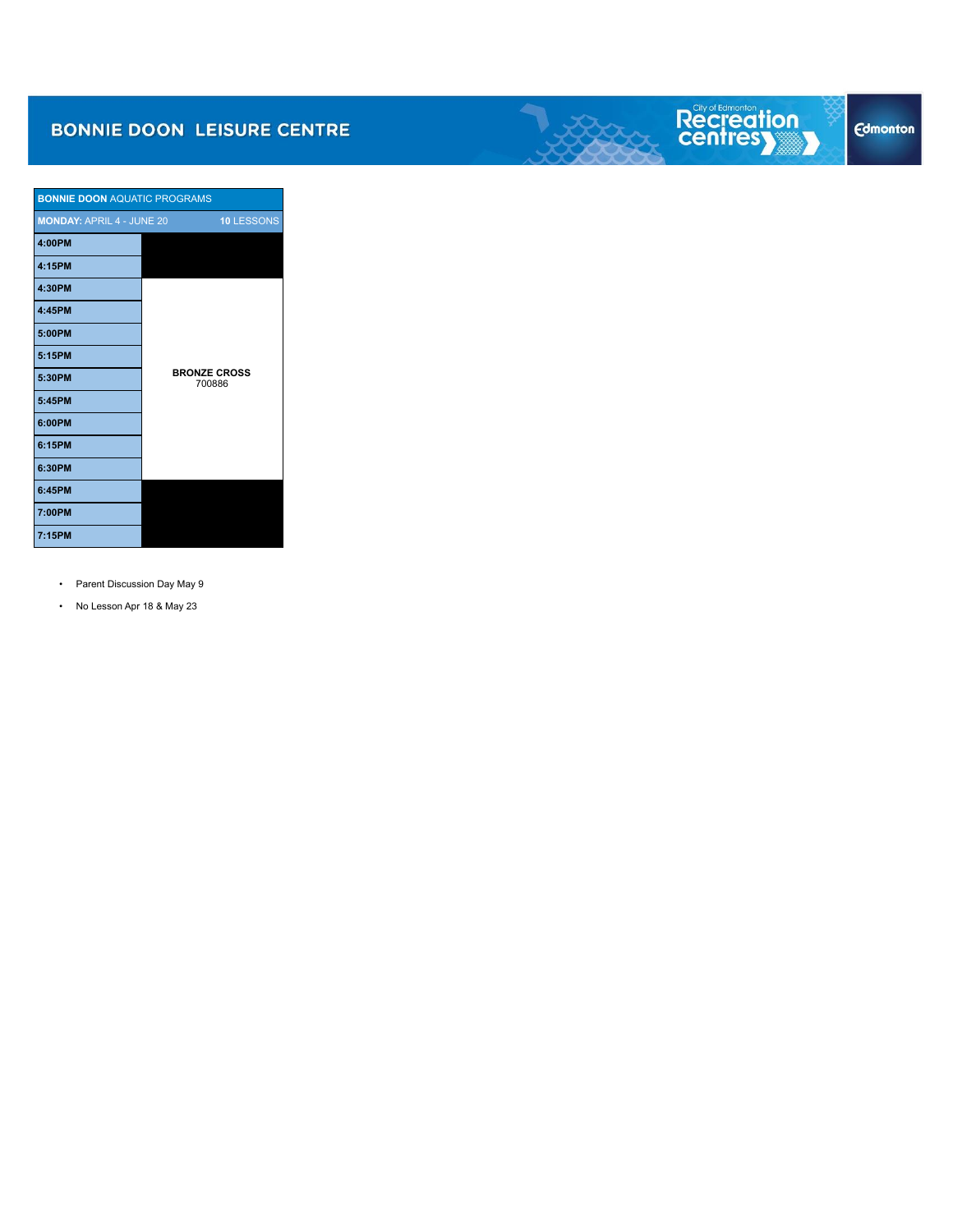| <b>BONNIE DOON AQUATIC PROGRAMS</b> |                               |
|-------------------------------------|-------------------------------|
| <b>MONDAY: APRIL 4 - JUNE 20</b>    | 10 LESSONS                    |
| 4:00PM                              |                               |
| 4:15PM                              |                               |
| 4:30PM                              |                               |
| 4:45PM                              |                               |
| 5:00PM                              |                               |
| 5:15PM                              |                               |
| 5:30PM                              | <b>BRONZE CROSS</b><br>700886 |
| 5:45PM                              |                               |
| 6:00PM                              |                               |
| 6:15PM                              |                               |
| 6:30PM                              |                               |
| 6:45PM                              |                               |
| 7:00PM                              |                               |
| 7:15PM                              |                               |

- Parent Discussion Day May 9
- No Lesson Apr 18 & May 23

Recreation<br>centresy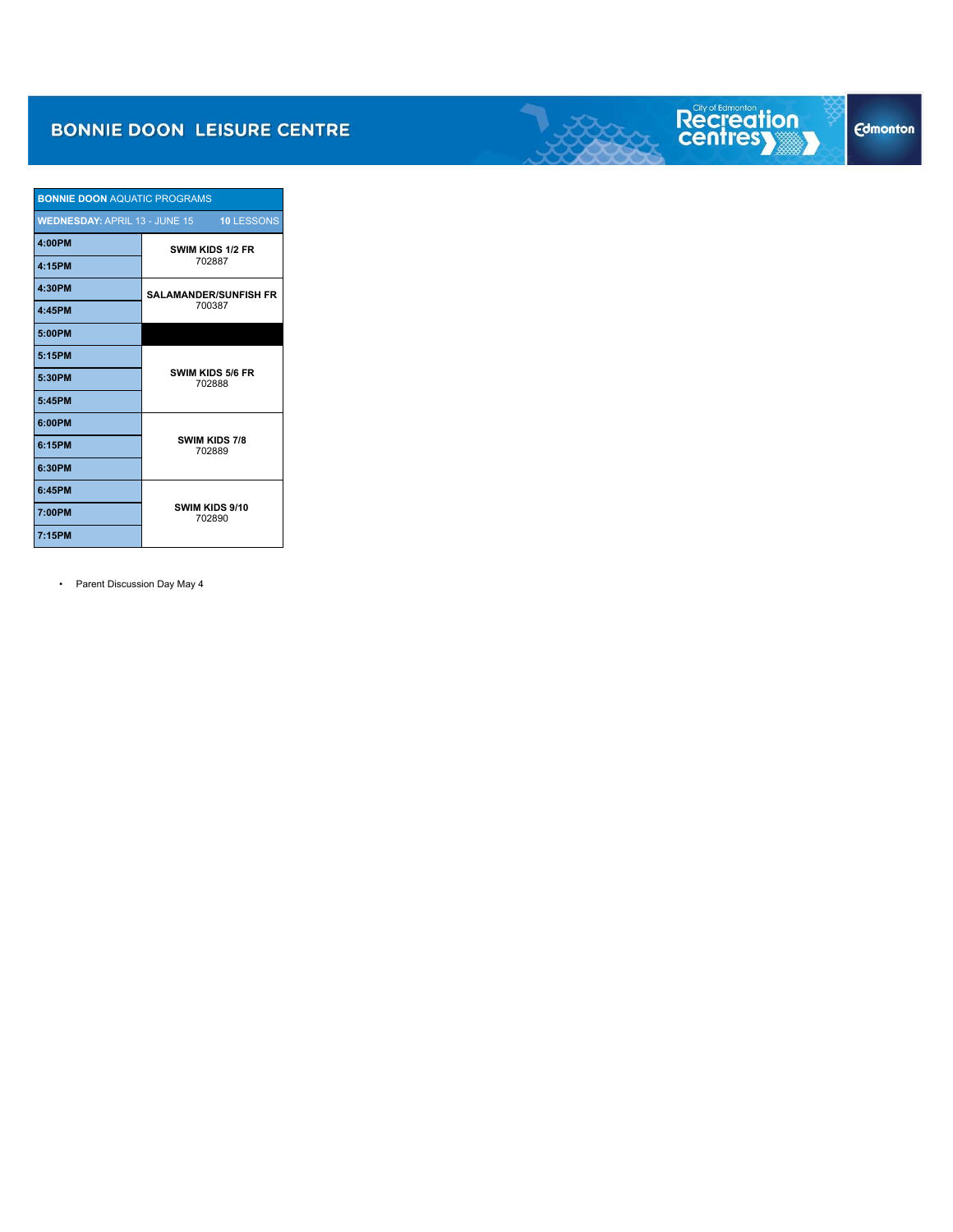| <b>BONNIE DOON AQUATIC PROGRAMS</b>  |                                   |  |
|--------------------------------------|-----------------------------------|--|
| <b>WEDNESDAY: APRIL 13 - JUNE 15</b> | <b>10 LESSONS</b>                 |  |
| 4:00PM                               | SWIM KIDS 1/2 FR                  |  |
| 4:15PM                               | 702887                            |  |
| 4:30PM                               | <b>SALAMANDER/SUNFISH FR</b>      |  |
| 4:45PM                               | 700387                            |  |
| 5:00PM                               |                                   |  |
| 5:15PM                               |                                   |  |
| 5:30PM                               | <b>SWIM KIDS 5/6 FR</b><br>702888 |  |
| 5:45PM                               |                                   |  |
| 6:00PM                               |                                   |  |
| 6:15PM                               | SWIM KIDS 7/8<br>702889           |  |
| 6:30PM                               |                                   |  |
| 6:45PM                               |                                   |  |
| 7:00PM                               | SWIM KIDS 9/10<br>702890          |  |
| 7:15PM                               |                                   |  |

• Parent Discussion Day May 4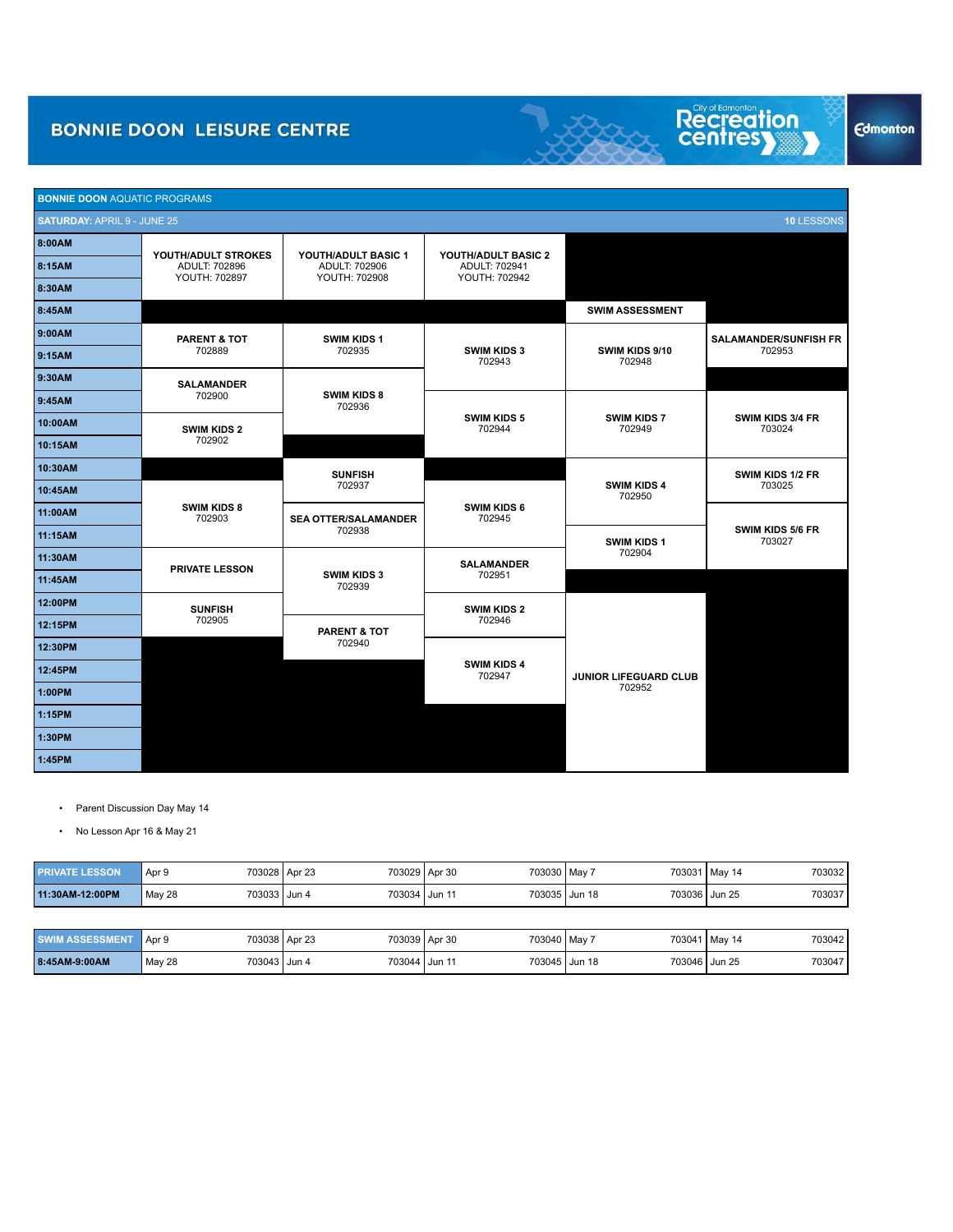| <b>BONNIE DOON AQUATIC PROGRAMS</b> |                                |                                |                                |                              |                                        |  |
|-------------------------------------|--------------------------------|--------------------------------|--------------------------------|------------------------------|----------------------------------------|--|
| <b>SATURDAY: APRIL 9 - JUNE 25</b>  |                                |                                |                                |                              | 10 LESSONS                             |  |
| 8:00AM                              | YOUTH/ADULT STROKES            | YOUTH/ADULT BASIC 1            | YOUTH/ADULT BASIC 2            |                              |                                        |  |
| 8:15AM                              | ADULT: 702896<br>YOUTH: 702897 | ADULT: 702906<br>YOUTH: 702908 | ADULT: 702941<br>YOUTH: 702942 |                              |                                        |  |
| 8:30AM                              |                                |                                |                                |                              |                                        |  |
| 8:45AM                              |                                |                                |                                | <b>SWIM ASSESSMENT</b>       |                                        |  |
| 9:00AM                              | <b>PARENT &amp; TOT</b>        | <b>SWIM KIDS 1</b>             |                                |                              | <b>SALAMANDER/SUNFISH FR</b><br>702953 |  |
| 9:15AM                              | 702889                         | 702935                         | <b>SWIM KIDS 3</b><br>702943   | SWIM KIDS 9/10<br>702948     |                                        |  |
| 9:30AM                              | <b>SALAMANDER</b>              |                                |                                |                              |                                        |  |
| 9:45AM                              | 702900                         | <b>SWIM KIDS 8</b><br>702936   |                                |                              |                                        |  |
| 10:00AM                             | <b>SWIM KIDS 2</b>             |                                | <b>SWIM KIDS 5</b><br>702944   | <b>SWIM KIDS 7</b><br>702949 | <b>SWIM KIDS 3/4 FR</b><br>703024      |  |
| 10:15AM                             | 702902                         |                                |                                |                              |                                        |  |
| 10:30AM                             |                                | <b>SUNFISH</b>                 |                                |                              | SWIM KIDS 1/2 FR                       |  |
| 10:45AM                             |                                | 702937                         |                                | <b>SWIM KIDS 4</b><br>702950 | 703025                                 |  |
| 11:00AM                             | <b>SWIM KIDS 8</b><br>702903   | <b>SEA OTTER/SALAMANDER</b>    | SWIM KIDS 6<br>702945          |                              | <b>SWIM KIDS 5/6 FR</b><br>703027      |  |
| 11:15AM                             |                                | 702938                         |                                | SWIM KIDS 1                  |                                        |  |
| 11:30AM                             | <b>PRIVATE LESSON</b>          |                                | <b>SALAMANDER</b>              | 702904                       |                                        |  |
| 11:45AM                             |                                | <b>SWIM KIDS 3</b><br>702939   | 702951                         |                              |                                        |  |
| 12:00PM                             | <b>SUNFISH</b>                 |                                | <b>SWIM KIDS 2</b>             |                              |                                        |  |
| 12:15PM                             | 702905                         | PARENT & TOT                   | 702946                         |                              |                                        |  |
| 12:30PM                             |                                | 702940                         |                                |                              |                                        |  |
| 12:45PM                             |                                |                                | <b>SWIM KIDS 4</b><br>702947   | JUNIOR LIFEGUARD CLUB        |                                        |  |
| 1:00PM                              |                                |                                |                                | 702952                       |                                        |  |
| 1:15PM                              |                                |                                |                                |                              |                                        |  |
| 1:30PM                              |                                |                                |                                |                              |                                        |  |

• Parent Discussion Day May 14

**1:45PM n/a**

• No Lesson Apr 16 & May 21

| <b>PRIVATE LESSON</b>  | Apr 9                  | 703028 Apr 23 | 703029 Apr 30<br>703030 May 7 |               | 703032<br>703031 May 14 |
|------------------------|------------------------|---------------|-------------------------------|---------------|-------------------------|
| 11:30AM-12:00PM        | 703033 Jun 4<br>May 28 | 703034 Jun 11 | 703035 Jun 18                 | 703036 Jun 25 | 703037                  |
|                        |                        |               |                               |               |                         |
| <b>SWIM ASSESSMENT</b> | Apr 9                  | 703038 Apr 23 | 703039 Apr 30<br>703040 May 7 |               | 703042<br>703041 May 14 |
| 8:45AM-9:00AM          | 703043 Jun 4<br>May 28 | 703044 Jun 11 | 703045 Jun 18                 | 703046 Jun 25 | 703047                  |